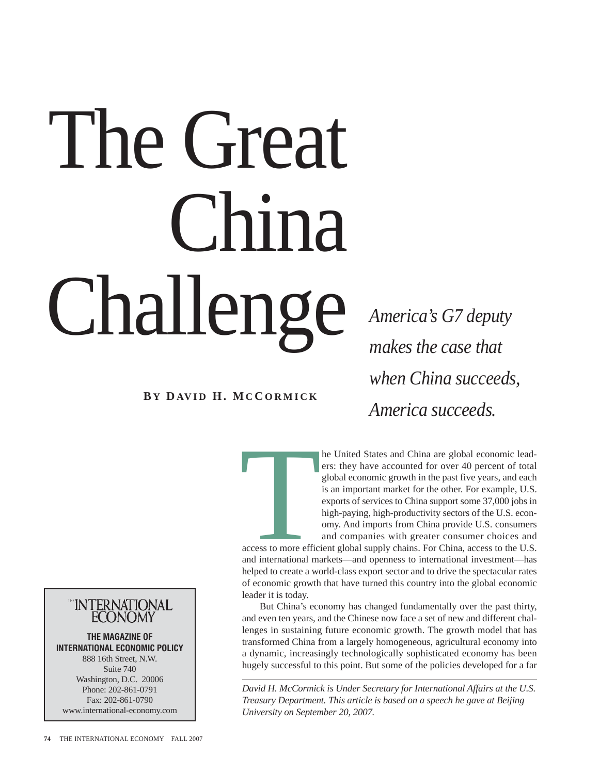# The Great China Challenge *America's G7 deputy*

*makes the case that when China succeeds, America succeeds.*

**B Y D AV I D H. MC C ORMICK**

he United States and China are global economic leaders: they have accounted for over 40 percent of total global economic growth in the past five years, and each is an important market for the other. For example, U.S. exports of services to China support some 37,000 jobs in high-paying, high-productivity sectors of the U.S. economy. And imports from China provide U.S. consumers and companies with greater consumer choices and

access to more efficient access to more efficient global supply chains. For China, access to the U.S. and international markets—and openness to international investment—has helped to create a world-class export sector and to drive the spectacular rates of economic growth that have turned this country into the global economic leader it is today.

But China's economy has changed fundamentally over the past thirty, and even ten years, and the Chinese now face a set of new and different challenges in sustaining future economic growth. The growth model that has transformed China from a largely homogeneous, agricultural economy into a dynamic, increasingly technologically sophisticated economy has been hugely successful to this point. But some of the policies developed for a far

*David H. McCormick is Under Secretary for International Affairs at the U.S. Treasury Department. This article is based on a speech he gave at Beijing University on September 20, 2007.* 



**THE MAGAZINE OF INTERNATIONAL ECONOMIC POLICY** 888 16th Street, N.W. Suite 740 Washington, D.C. 20006 Phone: 202-861-0791 Fax: 202-861-0790 www.international-economy.com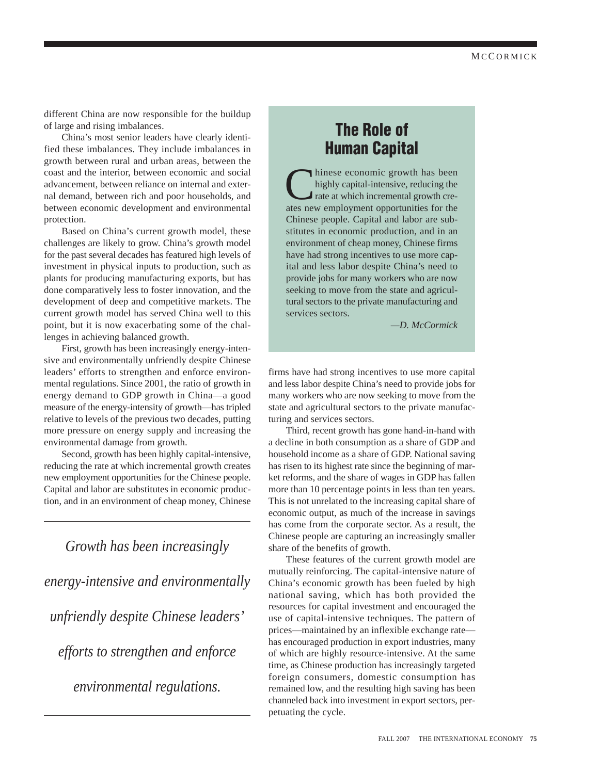different China are now responsible for the buildup of large and rising imbalances.

China's most senior leaders have clearly identified these imbalances. They include imbalances in growth between rural and urban areas, between the coast and the interior, between economic and social advancement, between reliance on internal and external demand, between rich and poor households, and between economic development and environmental protection.

Based on China's current growth model, these challenges are likely to grow. China's growth model for the past several decades has featured high levels of investment in physical inputs to production, such as plants for producing manufacturing exports, but has done comparatively less to foster innovation, and the development of deep and competitive markets. The current growth model has served China well to this point, but it is now exacerbating some of the challenges in achieving balanced growth.

First, growth has been increasingly energy-intensive and environmentally unfriendly despite Chinese leaders' efforts to strengthen and enforce environmental regulations. Since 2001, the ratio of growth in energy demand to GDP growth in China—a good measure of the energy-intensity of growth—has tripled relative to levels of the previous two decades, putting more pressure on energy supply and increasing the environmental damage from growth.

Second, growth has been highly capital-intensive, reducing the rate at which incremental growth creates new employment opportunities for the Chinese people. Capital and labor are substitutes in economic production, and in an environment of cheap money, Chinese

*Growth has been increasingly energy-intensive and environmentally unfriendly despite Chinese leaders' efforts to strengthen and enforce environmental regulations.*

## **The Role of Human Capital**

hinese economic growth has been highly capital-intensive, reducing the rate at which incremental growth creates new employment opportunities for the Chinese people. Capital and labor are substitutes in economic production, and in an environment of cheap money, Chinese firms have had strong incentives to use more capital and less labor despite China's need to provide jobs for many workers who are now seeking to move from the state and agricultural sectors to the private manufacturing and services sectors.

*—D. McCormick*

firms have had strong incentives to use more capital and less labor despite China's need to provide jobs for many workers who are now seeking to move from the state and agricultural sectors to the private manufacturing and services sectors.

Third, recent growth has gone hand-in-hand with a decline in both consumption as a share of GDP and household income as a share of GDP. National saving has risen to its highest rate since the beginning of market reforms, and the share of wages in GDP has fallen more than 10 percentage points in less than ten years. This is not unrelated to the increasing capital share of economic output, as much of the increase in savings has come from the corporate sector. As a result, the Chinese people are capturing an increasingly smaller share of the benefits of growth.

These features of the current growth model are mutually reinforcing. The capital-intensive nature of China's economic growth has been fueled by high national saving, which has both provided the resources for capital investment and encouraged the use of capital-intensive techniques. The pattern of prices—maintained by an inflexible exchange rate has encouraged production in export industries, many of which are highly resource-intensive. At the same time, as Chinese production has increasingly targeted foreign consumers, domestic consumption has remained low, and the resulting high saving has been channeled back into investment in export sectors, perpetuating the cycle.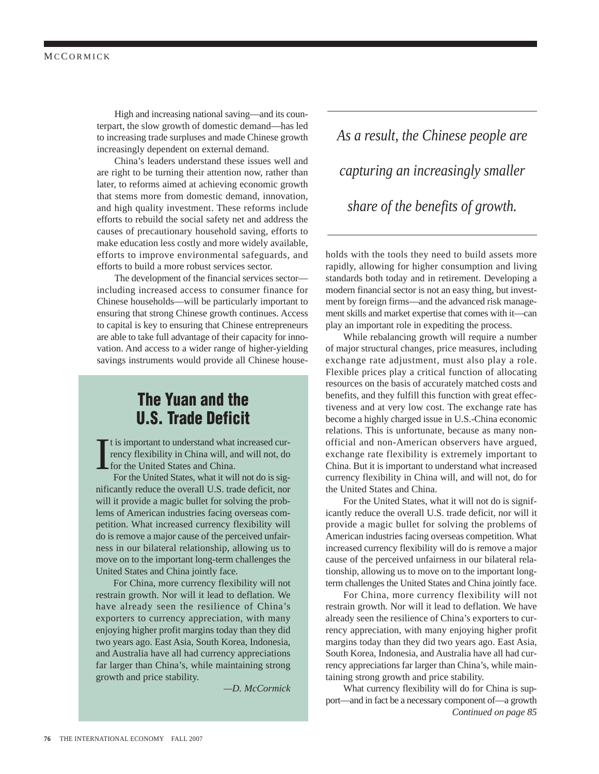High and increasing national saving—and its counterpart, the slow growth of domestic demand—has led to increasing trade surpluses and made Chinese growth increasingly dependent on external demand.

China's leaders understand these issues well and are right to be turning their attention now, rather than later, to reforms aimed at achieving economic growth that stems more from domestic demand, innovation, and high quality investment. These reforms include efforts to rebuild the social safety net and address the causes of precautionary household saving, efforts to make education less costly and more widely available, efforts to improve environmental safeguards, and efforts to build a more robust services sector.

The development of the financial services sector including increased access to consumer finance for Chinese households—will be particularly important to ensuring that strong Chinese growth continues. Access to capital is key to ensuring that Chinese entrepreneurs are able to take full advantage of their capacity for innovation. And access to a wider range of higher-yielding savings instruments would provide all Chinese house-

# **The Yuan and the U.S. Trade Deficit**

I t is important to understand what increased currency flexibility in China will, and will not, do for the United States and China.

For the United States, what it will not do is significantly reduce the overall U.S. trade deficit, nor will it provide a magic bullet for solving the problems of American industries facing overseas competition. What increased currency flexibility will do is remove a major cause of the perceived unfairness in our bilateral relationship, allowing us to move on to the important long-term challenges the United States and China jointly face.

For China, more currency flexibility will not restrain growth. Nor will it lead to deflation. We have already seen the resilience of China's exporters to currency appreciation, with many enjoying higher profit margins today than they did two years ago. East Asia, South Korea, Indonesia, and Australia have all had currency appreciations far larger than China's, while maintaining strong growth and price stability.

*—D. McCormick*

*As a result, the Chinese people are capturing an increasingly smaller share of the benefits of growth.*

holds with the tools they need to build assets more rapidly, allowing for higher consumption and living standards both today and in retirement. Developing a modern financial sector is not an easy thing, but investment by foreign firms—and the advanced risk management skills and market expertise that comes with it—can play an important role in expediting the process.

While rebalancing growth will require a number of major structural changes, price measures, including exchange rate adjustment, must also play a role. Flexible prices play a critical function of allocating resources on the basis of accurately matched costs and benefits, and they fulfill this function with great effectiveness and at very low cost. The exchange rate has become a highly charged issue in U.S.-China economic relations. This is unfortunate, because as many nonofficial and non-American observers have argued, exchange rate flexibility is extremely important to China. But it is important to understand what increased currency flexibility in China will, and will not, do for the United States and China.

For the United States, what it will not do is significantly reduce the overall U.S. trade deficit, nor will it provide a magic bullet for solving the problems of American industries facing overseas competition. What increased currency flexibility will do is remove a major cause of the perceived unfairness in our bilateral relationship, allowing us to move on to the important longterm challenges the United States and China jointly face.

For China, more currency flexibility will not restrain growth. Nor will it lead to deflation. We have already seen the resilience of China's exporters to currency appreciation, with many enjoying higher profit margins today than they did two years ago. East Asia, South Korea, Indonesia, and Australia have all had currency appreciations far larger than China's, while maintaining strong growth and price stability.

What currency flexibility will do for China is support—and in fact be a necessary component of—a growth *Continued on page 85*